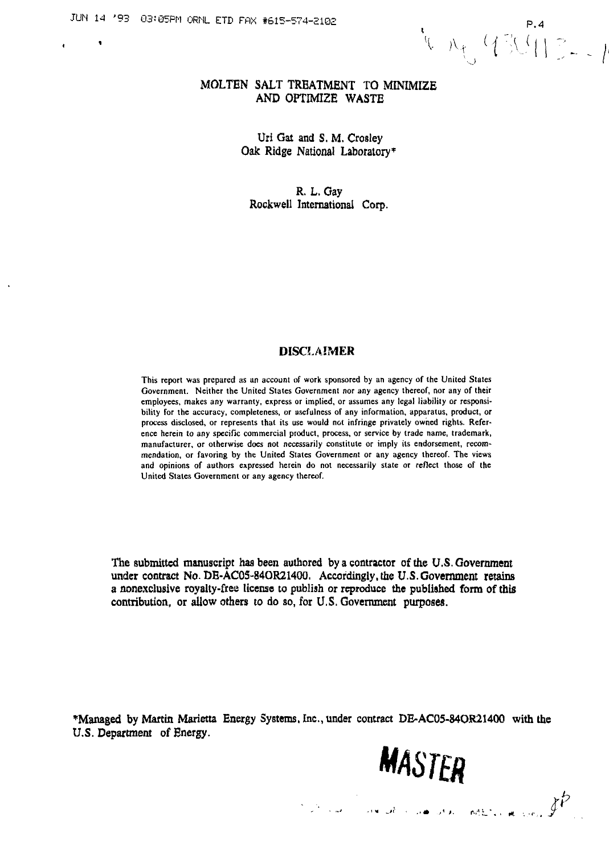JUN 14 '93 03:05PM ORNL ETD FAX #615-574-2102 P.4<br>
P.4 and the contract of the contract of the contract of the contract of the contract of the contract of the contract of the contract of  $\mathcal{N}_{+}$  and  $\mathcal{N}_{+}$  and  $\mathcal$ 

#### **MOLTEN SALT TREATMENT TO MINIMIZE AND OPTIMIZE WASTE**

**Uri Gat and S. M. Crosley Oak Ridge National Laboratory\***

**R. L. Gay Rockwell International Corp.**

### **DISCLAIMER**

**This reporl was prepared as an account of work sponsored by an agency of the United States Government. Neither the United States Government nor any agency thereof, nor any of their employees, makes any warranty, express or implied, or assumes any legal liability or responsibility for the accuracy, completeness, or usefulness of any information, apparatus, product, or process disclosed, or represents that its use would not infringe privately owned rights. Reference herein to any specific commercial product, process, or service by trade name, trademark, manufacturer, or otherwise does not necessarily constitute or imply its endorsement, recommendation, or favoring by the United States Government or any agency thereof. The views and opinions of authors expressed herein do not necessarily state or reflect those of the United States Government or any agency thereof.**

**The submitted manuscript has been authored by a contractor of the U.S. Government under contract No. DE-AC05-84OR21400, Accordingly, the U.S. Government retains a nonexclusive royalty-free license to publish or reproduce the published form of this contribution, or allow others to do so, for U.S. Government purposes.**

**'Managed by Martin Marietta Energy Systems, Inc., under contract DE-AC05-34OR21400 with the U.S. Department of Energy.**

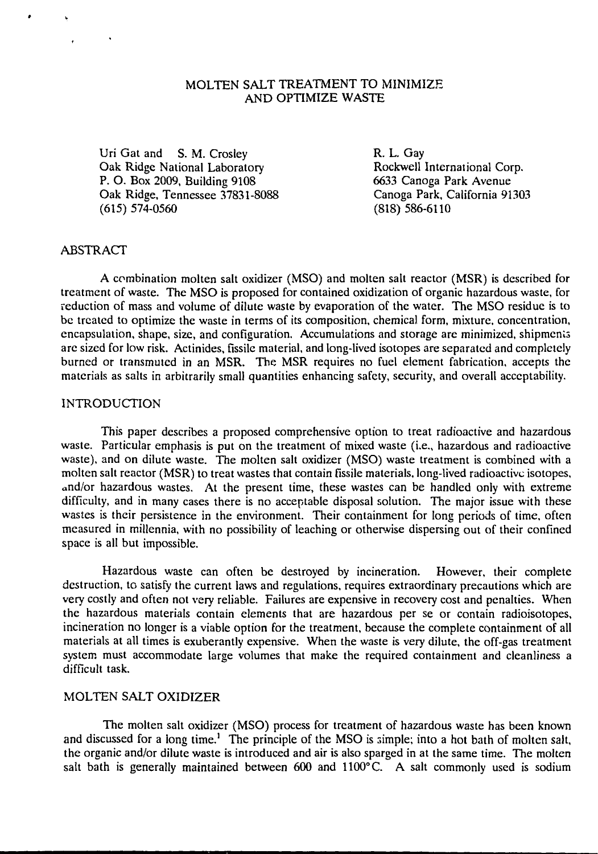### MOLTEN SALT TREATMENT TO MINIMIZE AND OPTIMIZE WASTE

Uri Gat and S. M. Crosley **R. L. Gay**<br>
Oak Ridge National Laboratory **Rockwell International Corp.** Oak Ridge National Laboratory **Rockwell International Corp.**<br> **P. O. Box 2009, Building 9108** 6633 Canoga Park Avenue P. O. Box 2009, Building 9108 6633 Canoga Park Avenue<br>Oak Ridge, Tennessee 37831-8088 6633 Canoga Park, California 91303 Oak Ridge, Tennessee 37831-8088 Canoga Park, C<br>(615) 574-0560 (818) 686-6110  $(615)$  574-0560

#### ABSTRACT

A combination molten salt oxidizer (MSO) and molten salt reactor (MSR) is described for treatment of waste. The MSO is proposed for contained oxidization of organic hazardous waste, for reduction of mass and volume of dilute waste by evaporation of the water. The MSO residue is to be treated to optimize the waste in terms of its composition, chemical form, mixture, concentration, encapsulation, shape, size, and configuration. Accumulations and storage are minimized, shipments are sized for low risk. Actinides, fissile material, and long-lived isotopes are separated and completely burned or transmuted in an MSR. The MSR requires no fuel element fabrication, accepts the materials as salts in arbitrarily small quantities enhancing safety, security, and overall acceptability.

#### INTRODUCTION

This paper describes a proposed comprehensive option to treat radioactive and hazardous waste. Particular emphasis is put on the treatment of mixed waste (i.e., hazardous and radioactive waste), and on dilute waste. The molten salt oxidizer (MSO) waste treatment is combined with a molten salt reactor (MSR) to treat wastes that contain fissile materials, long-lived radioactive isotopes, and/or hazardous wastes. At the present time, these wastes can be handled only with extreme difficulty, and in many cases there is no acceptable disposal solution. The major issue with these wastes is their persistence in the environment. Their containment for long periods of time, often measured in millennia, with no possibility of leaching or otherwise dispersing out of their confined space is all but impossible.

Hazardous waste can often be destroyed by incineration. However, their complete destruction, to satisfy the current laws and regulations, requires extraordinary precautions which are very costly and often not very reliable. Failures are expensive in recovery cost and penalties. When the hazardous materials contain elements that are hazardous per se or contain radioisotopes, incineration no longer is a viable option for the treatment, because the complete containment of all materials at all times is exuberantly expensive. When the waste is very dilute, the off-gas treatment system must accommodate large volumes that make the required containment and cleanliness a difficult task.

## MOLTEN SALT OXIDIZER

The molten salt oxidizer (MSO) process for treatment of hazardous waste has been known and discussed for a long time.<sup>1</sup> The principle of the MSO is simple; into a hot bath of molten salt, the organic and/or dilute waste is introduced and air is also sparged in at the same time. The molten salt bath is generally maintained between  $600$  and  $1100^{\circ}$ C. A salt commonly used is sodium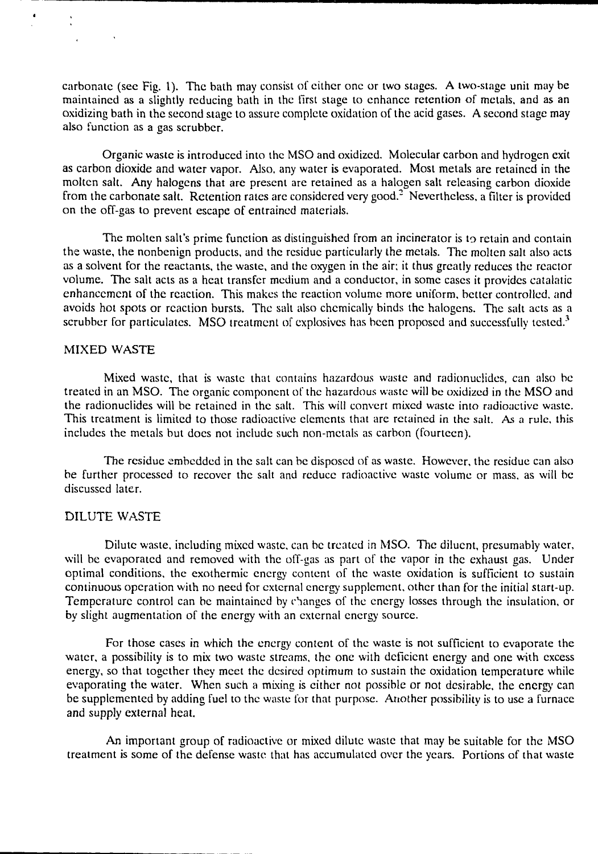carbonate (see Fig. 1). The bath may consist of cither one or two stages. A two-stage unit may be maintained as a slightly reducing bath in the first stage to enhance retention of metals, and as an oxidizing bath in the second stage to assure complete oxidation of the acid gases. A second stage may also function as a gas scrubber.

Organic waste is introduced into the MSO and oxidized. Molecular carbon and hydrogen exit as carbon dioxide and water vapor. Also, any water is evaporated. Most metals are retained in the molten salt. Any halogens that are present are retained as a halogen salt releasing carbon dioxide from the carbonate salt. Retention rates are considered very good.<sup>2</sup> Nevertheless, a filter is provided on the off-gas to prevent escape of entrained materials.

The molten salt's prime function as distinguished from an incinerator is to retain and contain the waste, the nonbenign products, and the residue particularly the metals. The molten salt also acts as a solvent for the reactants, the waste, and the oxygen in the air; it thus greatly reduces the reactor volume. The salt acts as a heat transfer medium and a conductor, in some cases it provides catalatic enhancement of the reaction. This makes the reaction volume more uniform, better controlled, and avoids hot spots or reaction bursts. The salt also chemically binds the halogens. The salt acts as a scrubber for particulates. MSO treatment of explosives has been proposed and successfully tested.<sup>3</sup>

## MIXED WASTE

Mixed waste, that is waste that contains hazardous waste and radionuclides, can also be treated in an MSO. The organic component of the hazardous waste will be oxidized in the MSO and the radionuclides will be retained in the salt. This will convert mixed waste into radioactive waste. This treatment is limited to those radioactive elements that are retained in the salt. As a rule, this includes the metals but does not include such non-metals as carbon (fourteen).

The residue embedded in the salt can be disposed of as waste. However, the residue can also be further processed to recover the salt and reduce radioactive waste volume or mass, as will be discussed later.

### DILUTE WASTE

Dilute waste, including mixed waste, can be treated in MSO. The diluent, presumably water, will be evaporated and removed with the off-gas as part of the vapor in the exhaust gas. Under optimal conditions, the exothermic energy content of the waste oxidation is sufficient to sustain continuous operation with no need for external energy supplement, other than for the initial start-up. Temperature control can be maintained by changes of the energy losses through the insulation, or by slight augmentation of the energy with an external energy source.

For those cases in which the energy content of the waste is not sufficient to evaporate the water, a possibility is to mix two waste streams, the one with deficient energy and one with excess energy, so that together they meet the desired optimum to sustain the oxidation temperature while evaporating the water. When such a mixing is cither not possible or not desirable, the energy can be supplemented by adding fuel to the waste for that purpose. Another possibility is to use a furnace and supply external heat.

An important group of radioactive or mixed dilute waste that may be suitable for the MSO treatment is some of the defense waste that has accumulated over the years. Portions of that waste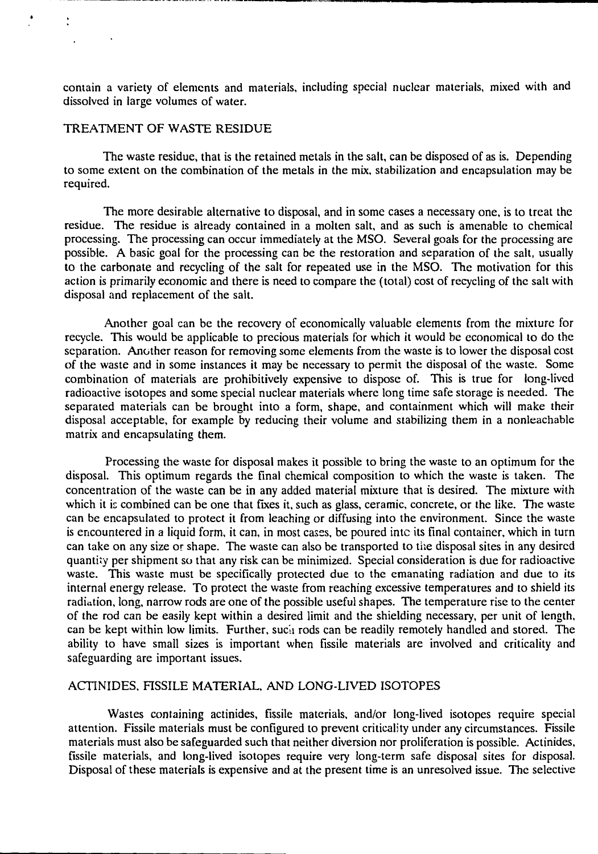contain a variety of elements and materials, including special nuclear materials, mixed with and dissolved in large volumes of water.

## TREATMENT OF WASTE RESIDUE

The waste residue, that is the retained metals in the salt, can be disposed of as is. Depending to some extent on the combination of the metals in the mix, stabilization and encapsulation may be required.

The more desirable alternative to disposal, and in some cases a necessary one, is to treat the residue. The residue is already contained in a molten salt, and as such is amenable to chemical processing. The processing can occur immediately at the MSO. Several goals for the processing are possible. A basic goal for the processing can be the restoration and separation of the salt, usually to the carbonate and recycling of the salt for repeated use in the MSO. The motivation for this action is primarily economic and there is need to compare the (total) cost of recycling of the salt with disposal and replacement of the salt.

Another goal can be the recovery of economically valuable elements from the mixture for recycle. This would be applicable to precious materials for which it would be economical to do the separation. Another reason for removing some elements from the waste is to lower the disposal cost of the waste and in some instances it may be necessary to permit the disposal of the waste. Some combination of materials are prohibitively expensive to dispose of. This is true for long-lived radioactive isotopes and some special nuclear materials where long time safe storage is needed. The separated materials can be brought into a form, shape, and containment which will make their disposal acceptable, for example by reducing their volume and stabilizing them in a nonleachable matrix and encapsulating them.

Processing the waste for disposal makes it possible to bring the waste to an optimum for the disposal. This optimum regards the final chemical composition to which the waste is taken. The concentration of the waste can be in any added material mixture that is desired. The mixture with which it is combined can be one that fixes it, such as glass, ceramic, concrete, or the like. The waste can be encapsulated to protect it from leaching or diffusing into the environment. Since the waste is encountered in a liquid form, it can, in most cases, be poured into its final container, which in turn can take on any size or shape. The waste can also be transported to the disposal sites in any desired quantity per shipment so that any risk can be minimized. Special consideration is due for radioactive waste. This waste must be specifically protected due to the emanating radiation and due to its internal energy release. To protect the waste from reaching excessive temperatures and to shield its radiation, long, narrow rods are one of the possible useful shapes. The temperature rise to the center of the rod can be easily kept within a desired limit and the shielding necessary, per unit of length, can be kept within low limits. Further, sucii rods can be readily remotely handled and stored. The ability to have small sizes is important when fissile materials are involved and criticality and safeguarding are important issues.

# ACTINIDES, FISSILE MATERIAL, AND LONG-LIVED ISOTOPES

Wastes containing actinides, fissile materials, and/or long-lived isotopes require special attention. Fissile materials must be configured to prevent criticality under any circumstances. Fissile materials must also be safeguarded such that neither diversion nor proliferation is possible. Actinides, fissile materials, and long-lived isotopes require very long-term safe disposal sites for disposal. Disposal of these materials is expensive and at the present time is an unresolved issue. The selective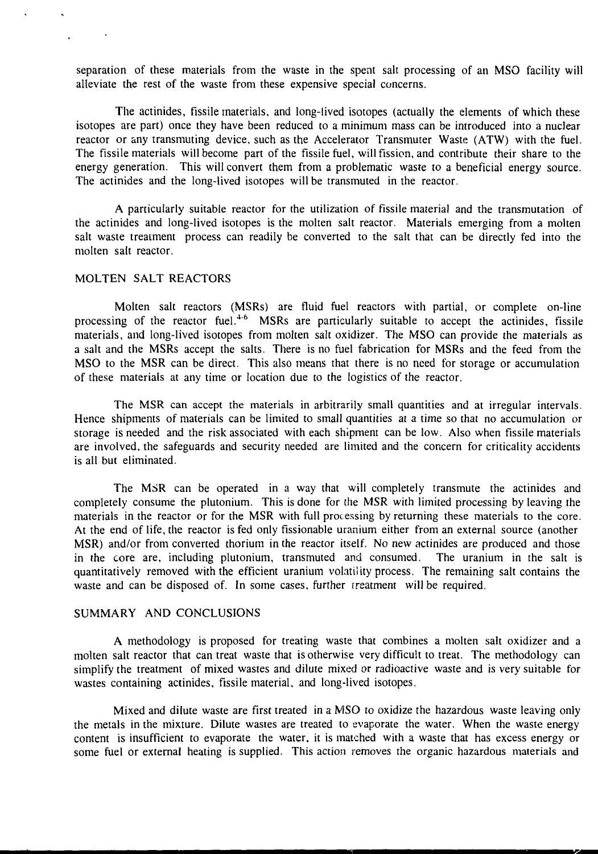separation of these materials from the waste in the spent salt processing of an MSO facility will alleviate the rest of the waste from these expensive special concerns.

The actinides, fissile materials, and long-lived isotopes (actually the elements of which these isotopes are part) once they have been reduced to a minimum mass can be introduced into a nuclear reactor or any transmuting device, such as the Accelerator Transmuter Waste (ATW) with the fuel. The fissile materials will become part of the fissile fuel, will fission, and contribute their share to the energy generation. This will convert them from a problematic waste to a beneficial energy source. The actinides and the long-lived isotopes will be transmuted in the reactor.

A particularly suitable reactor for the utilization of fissile material and the transmutation of the actinides and long-lived isotopes is the molten salt reactor. Materials emerging from a molten salt waste treatment process can readily be converted to the salt that can be directly fed into the molten salt reactor.

#### MOLTEN SALT REACTORS

Molten salt reactors (MSRs) are fluid fuel reactors with partial, or complete on-line processing of the reactor fuel.<sup>4-6</sup> MSRs are particularly suitable to accept the actinides, fissile materials, and long-lived isotopes from molten salt oxidizer. The MSO can provide the materials as a salt and the MSRs accept the salts. There is no fuel fabrication for MSRs and the feed from the MSO to the MSR can be direct. This also means that there is no need for storage or accumulation of these materials at any time or location due to the logistics of the reactor.

The MSR can accept the materials in arbitrarily small quantities and at irregular intervals. Hence shipments of materials can be limited to small quantities at a time so that no accumulation or storage is needed and the risk associated with each shipment can be low. Also when fissile materials are involved, the safeguards and security needed are limited and the concern for criticality accidents is all but eliminated.

The MSR can be operated in a way that will completely transmute the actinides and completely consume the plutonium. This is done for the MSR with limited processing by leaving the materials in the reactor or for the MSR with full processing by returning these materials to the core. At the end of life, the reactor is fed only fissionable uranium either from an external source (another MSR) and/or from converted thorium in the reactor itself. No new actinides are produced and those in the core are, including plutonium, transmuted and consumed. The uranium in the salt is quantitatively removed with the efficient uranium volatility process. The remaining salt contains the waste and can be disposed of. In some cases, further treatment will be required.

#### SUMMARY AND CONCLUSIONS

A methodology is proposed for treating waste that combines a molten salt oxidizer and a molten salt reactor that can treat waste that is otherwise very difficult to treat. The methodology can simplify the treatment of mixed wastes and dilute mixed or radioactive waste and is very suitable for wastes containing actinides, fissile material, and long-lived isotopes.

Mixed and dilute waste are first treated in a MSO to oxidize the hazardous waste leaving only the metals in the mixture. Dilute wastes are treated to evaporate the water. When the waste energy content is insufficient to evaporate the water, it is matched with a waste that has excess energy or some fuel or external heating is supplied. This action removes the organic hazardous materials and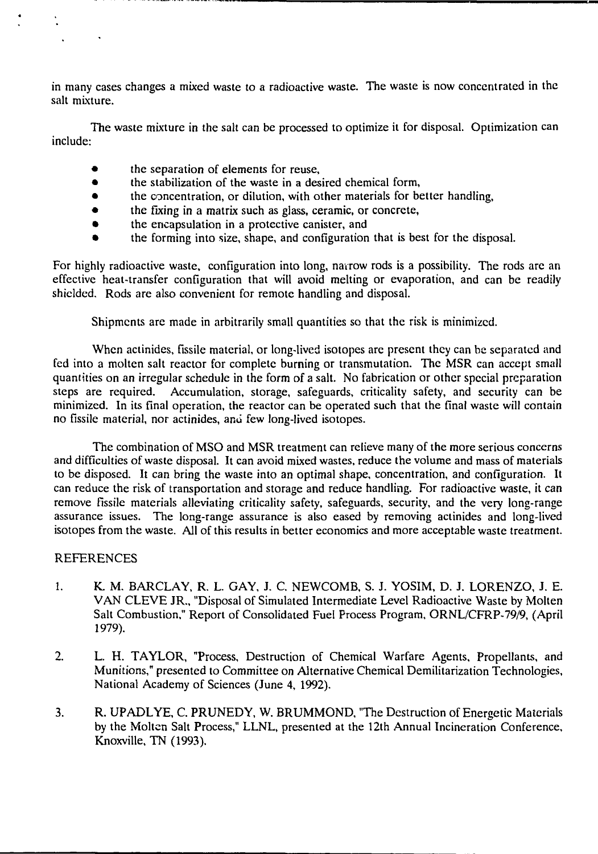in many cases changes a mixed waste to a radioactive waste. The waste is now concentrated in the salt mixture.

The waste mixture in the salt can be processed to optimize it for disposal. Optimization can include:

- the separation of elements for reuse,  $\bullet$
- $\bullet$ the stabilization of the waste in a desired chemical form,
- $\bullet$ the concentration, or dilution, with other materials for better handling,
- $\bullet$ the fixing in a matrix such as glass, ceramic, or concrete,
- the encapsulation in a protective canister, and
- the forming into size, shape, and configuration that is best for the disposal.

For highly radioactive waste, configuration into long, narrow rods is a possibility. The rods arc an effective heat-transfer configuration that will avoid melting or evaporation, and can be readily shielded. Rods are also convenient for remote handling and disposal.

Shipments are made in arbitrarily small quantities so that the risk is minimized.

When actinides, fissile material, or long-lived isotopes are present they can be separated and fed into a molten salt reactor for complete burning or transmutation. The MSR can accept small quantities on an irregular schedule in the form of a salt. No fabrication or other special preparation steps are required. Accumulation, storage, safeguards, criticality safety, and security can be minimized. In its final operation, the reactor can be operated such that the final waste will contain no fissile material, nor actinides, ami few long-lived isotopes.

The combination of MSO and MSR treatment can relieve many of the more serious concerns and difficulties of waste disposal. It can avoid mixed wastes, reduce the volume and mass of materials to be disposed. It can bring the waste into an optimal shape, concentration, and configuration. It can reduce the risk of transportation and storage and reduce handling. For radioactive waste, it can remove fissile materials alleviating criticality safety, safeguards, security, and the very long-range assurance issues. The long-range assurance is also eased by removing actinides and long-lived isotopes from the waste. All of this results in better economics and more acceptable waste treatment.

### REFERENCES

- 1. K. M. BARCLAY, R. L. GAY, J. C. NEWCOMB, S. J. YOSIM, D. J. LORENZO, J. E. VAN CLEVE JR., "Disposal of Simulated Intermediate Level Radioactive Waste by Molten Salt Combustion," Report of Consolidated Fuel Process Program, ORNL/CFRP-79/9, (April 1979).
- 2. L. H. TAYLOR, "Process, Destruction of Chemical Warfare Agents, Propellants, and Munitions," presented to Committee on Alternative Chemical Demilitarization Technologies, National Academy of Sciences (June 4, 1992).
- 3. R. UPADLYE, C. PRUNEDY, W. BRUMMOND, "The Destruction of Energetic Materials by the Molten Salt Process," LLNL, presented at the 12th Annual Incineration Conference, Knoxville, TN (1993).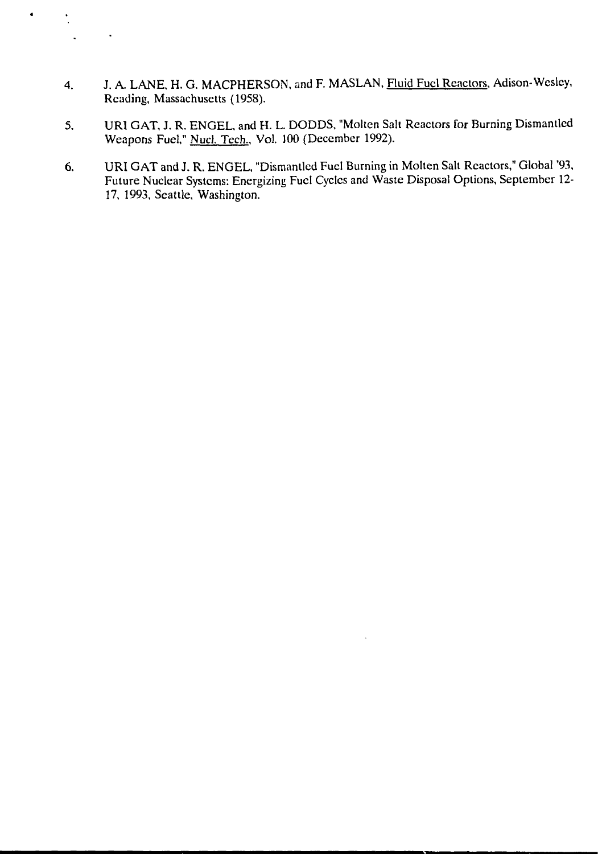4. J. A. LANE, H. G. MACPHERSON, and F. MASLAN, Fluid Fuel Reactors, Adison-Wesley, Reading, Massachusetts (1958).

 $\bullet$ 

 $\ddot{\cdot}$ 

 $\ddot{\phantom{a}}$ 

 $\hat{\textbf{r}}$ 

- 5. URI GAT, J. R. ENGEL, and H. L. DODDS, "Molten Salt Reactors for Burning Dismantled Weapons Fuel," Nucl. Tech., Vol. 100 (December 1992).
- 6. URI GAT and J. R. ENGEL, "Dismantled Fuel Burning in Molten Salt Reactors," Global '93, Future Nuclear Systems: Energizing Fuel Cycles and Waste Disposal Options, September 12- 17, 1993, Seattle, Washington.